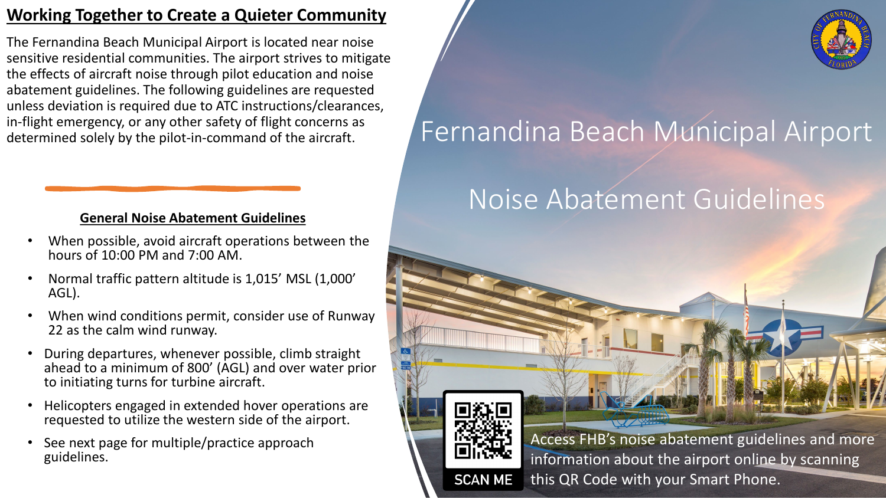### **Working Together to Create a Quieter Community**

The Fernandina Beach Municipal Airport is located near noise sensitive residential communities. The airport strives to mitigate the effects of aircraft noise through pilot education and noise abatement guidelines. The following guidelines are requested unless deviation is required due to ATC instructions/clearances, in-flight emergency, or any other safety of flight concerns as determined solely by the pilot-in-command of the aircraft.

### **General Noise Abatement Guidelines**

- When possible, avoid aircraft operations between the hours of 10:00 PM and 7:00 AM.
- Normal traffic pattern altitude is 1,015' MSL (1,000' AGL).
- When wind conditions permit, consider use of Runway 22 as the calm wind runway.
- During departures, whenever possible, climb straight ahead to a minimum of 800' (AGL) and over water prior to initiating turns for turbine aircraft.
- Helicopters engaged in extended hover operations are requested to utilize the western side of the airport.
- See next page for multiple/practice approach guidelines.



# Fernandina Beach Municipal Airport

## Noise Abatement Guidelines



Access FHB's noise abatement guidelines and more information about the airport online by scanning this QR Code with your Smart Phone.